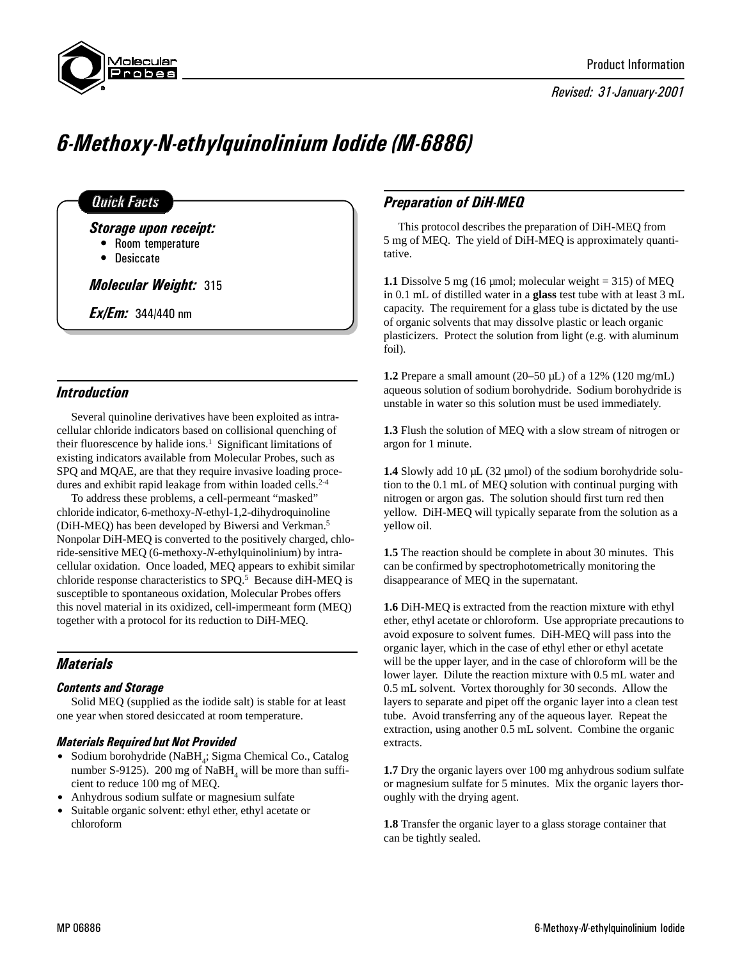

Revised: 31-January-2001

# 6-Methoxy-N-ethylquinolinium Iodide (M-6886)

## **Quick Facts**

Storage upon receipt:

- Room temperature
- Desiccate

Molecular Weight: 315

**Ex/Em:** 344/440 nm

## **Introduction**

Several quinoline derivatives have been exploited as intracellular chloride indicators based on collisional quenching of their fluorescence by halide ions.<sup>1</sup> Significant limitations of existing indicators available from Molecular Probes, such as SPQ and MQAE, are that they require invasive loading procedures and exhibit rapid leakage from within loaded cells.<sup>2-4</sup>

To address these problems, a cell-permeant "masked" chloride indicator, 6-methoxy-*N*-ethyl-1,2-dihydroquinoline (DiH-MEQ) has been developed by Biwersi and Verkman.5 Nonpolar DiH-MEQ is converted to the positively charged, chloride-sensitive MEQ (6-methoxy-*N*-ethylquinolinium) by intracellular oxidation. Once loaded, MEQ appears to exhibit similar chloride response characteristics to SPQ.<sup>5</sup> Because diH-MEQ is susceptible to spontaneous oxidation, Molecular Probes offers this novel material in its oxidized, cell-impermeant form (MEQ) together with a protocol for its reduction to DiH-MEQ.

# **Materials**

### Contents and Storage

Solid MEQ (supplied as the iodide salt) is stable for at least one year when stored desiccated at room temperature.

### Materials Required but Not Provided

- Sodium borohydride (NaBH<sub>4</sub>; Sigma Chemical Co., Catalog number S-9125).  $200 \text{ mg}$  of NaBH<sub>4</sub> will be more than sufficient to reduce 100 mg of MEQ.
- Anhydrous sodium sulfate or magnesium sulfate
- Suitable organic solvent: ethyl ether, ethyl acetate or chloroform

# Preparation of DiH-MEQ

This protocol describes the preparation of DiH-MEQ from 5 mg of MEQ. The yield of DiH-MEQ is approximately quantitative.

**1.1** Dissolve 5 mg (16 µmol; molecular weight = 315) of MEQ in 0.1 mL of distilled water in a **glass** test tube with at least 3 mL capacity. The requirement for a glass tube is dictated by the use of organic solvents that may dissolve plastic or leach organic plasticizers. Protect the solution from light (e.g. with aluminum foil).

**1.2** Prepare a small amount (20–50 µL) of a 12% (120 mg/mL) aqueous solution of sodium borohydride. Sodium borohydride is unstable in water so this solution must be used immediately.

**1.3** Flush the solution of MEQ with a slow stream of nitrogen or argon for 1 minute.

**1.4** Slowly add 10 µL (32 µmol) of the sodium borohydride solution to the 0.1 mL of MEQ solution with continual purging with nitrogen or argon gas. The solution should first turn red then yellow. DiH-MEQ will typically separate from the solution as a yellow oil.

**1.5** The reaction should be complete in about 30 minutes. This can be confirmed by spectrophotometrically monitoring the disappearance of MEQ in the supernatant.

**1.6** DiH-MEQ is extracted from the reaction mixture with ethyl ether, ethyl acetate or chloroform. Use appropriate precautions to avoid exposure to solvent fumes. DiH-MEQ will pass into the organic layer, which in the case of ethyl ether or ethyl acetate will be the upper layer, and in the case of chloroform will be the lower layer. Dilute the reaction mixture with 0.5 mL water and 0.5 mL solvent. Vortex thoroughly for 30 seconds. Allow the layers to separate and pipet off the organic layer into a clean test tube. Avoid transferring any of the aqueous layer. Repeat the extraction, using another 0.5 mL solvent. Combine the organic extracts.

**1.7** Dry the organic layers over 100 mg anhydrous sodium sulfate or magnesium sulfate for 5 minutes. Mix the organic layers thoroughly with the drying agent.

**1.8** Transfer the organic layer to a glass storage container that can be tightly sealed.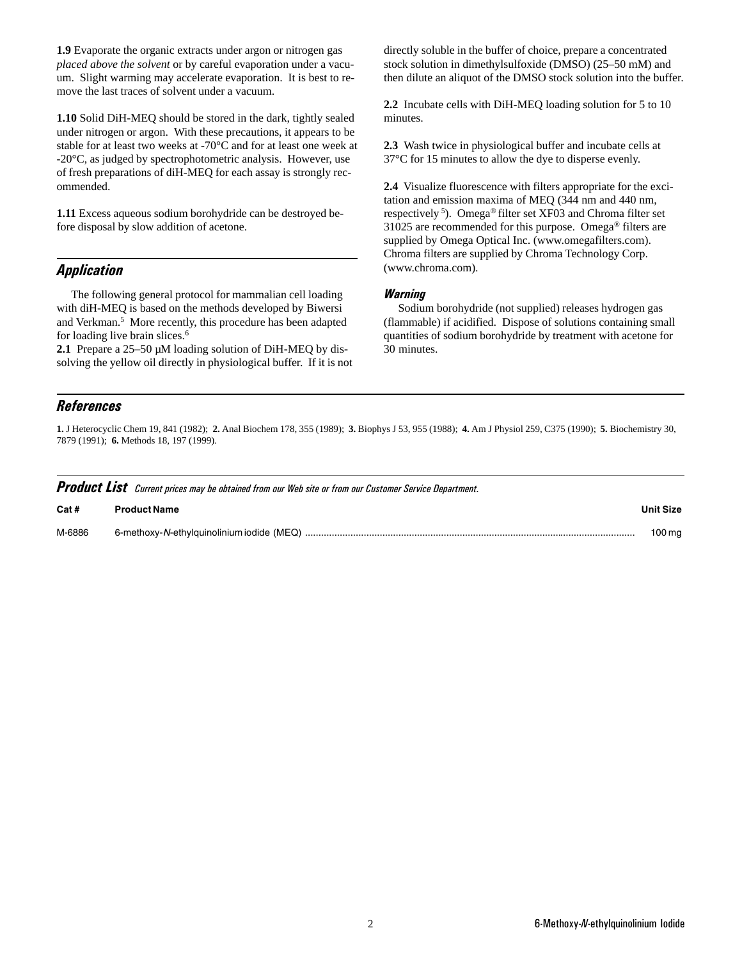**1.9** Evaporate the organic extracts under argon or nitrogen gas *placed above the solvent* or by careful evaporation under a vacuum. Slight warming may accelerate evaporation. It is best to remove the last traces of solvent under a vacuum.

**1.10** Solid DiH-MEQ should be stored in the dark, tightly sealed under nitrogen or argon. With these precautions, it appears to be stable for at least two weeks at -70°C and for at least one week at -20°C, as judged by spectrophotometric analysis. However, use of fresh preparations of diH-MEQ for each assay is strongly recommended.

**1.11** Excess aqueous sodium borohydride can be destroyed before disposal by slow addition of acetone.

## Application

The following general protocol for mammalian cell loading with diH-MEQ is based on the methods developed by Biwersi and Verkman.<sup>5</sup> More recently, this procedure has been adapted for loading live brain slices.<sup>6</sup>

2.1 Prepare a 25–50  $\mu$ M loading solution of DiH-MEQ by dissolving the yellow oil directly in physiological buffer. If it is not directly soluble in the buffer of choice, prepare a concentrated stock solution in dimethylsulfoxide (DMSO) (25–50 mM) and then dilute an aliquot of the DMSO stock solution into the buffer.

**2.2** Incubate cells with DiH-MEQ loading solution for 5 to 10 minutes.

**2.3** Wash twice in physiological buffer and incubate cells at 37°C for 15 minutes to allow the dye to disperse evenly.

**2.4** Visualize fluorescence with filters appropriate for the excitation and emission maxima of MEQ (344 nm and 440 nm, respectively 5). Omega® filter set XF03 and Chroma filter set 31025 are recommended for this purpose. Omega® filters are supplied by Omega Optical Inc. (www.omegafilters.com). Chroma filters are supplied by Chroma Technology Corp. (www.chroma.com).

#### **Warning**

Sodium borohydride (not supplied) releases hydrogen gas (flammable) if acidified. Dispose of solutions containing small quantities of sodium borohydride by treatment with acetone for 30 minutes.

## References

**1.** J Heterocyclic Chem 19, 841 (1982); **2.** Anal Biochem 178, 355 (1989); **3.** Biophys J 53, 955 (1988); **4.** Am J Physiol 259, C375 (1990); **5.** Biochemistry 30, 7879 (1991); **6.** Methods 18, 197 (1999).

| <b>Product List</b> Current prices may be obtained from our Web site or from our Customer Service Department. |                     |                  |  |
|---------------------------------------------------------------------------------------------------------------|---------------------|------------------|--|
| Cat #                                                                                                         | <b>Product Name</b> | <b>Unit Size</b> |  |
| M-6886                                                                                                        |                     | 100 mg           |  |